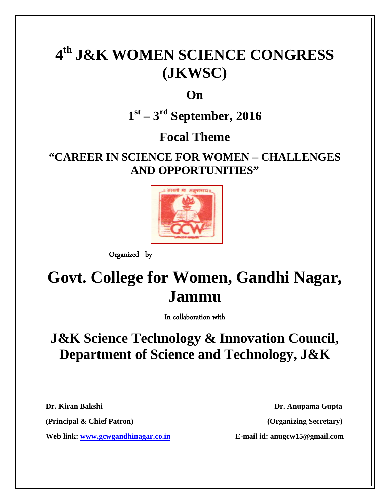# **4th J&K WOMEN SCIENCE CONGRESS (JKWSC)**

**On**

**1st – 3rd September, 2016**

**Focal Theme**

### **"CAREER IN SCIENCE FOR WOMEN – CHALLENGES AND OPPORTUNITIES"**



Organized by

## **Govt. College for Women, Gandhi Nagar, Jammu**

In collaboration with

### **J&K Science Technology & Innovation Council, Department of Science and Technology, J&K**

**Web link: [www.gcwgandhinagar.co.in](http://www.gcwgandhinagar.co.in/) E-mail id: anugcw15@gmail.com**

**Dr. Kiran Bakshi Dr. Anupama Gupta (Principal & Chief Patron) (Organizing Secretary)**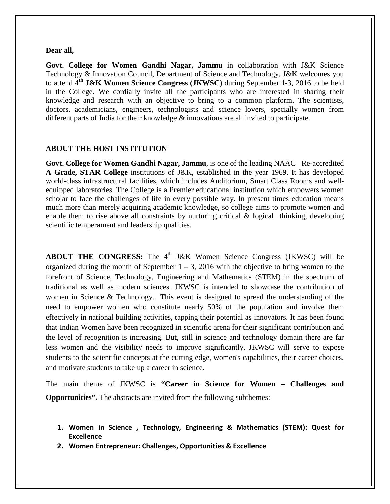#### **Dear all,**

**Govt. College for Women Gandhi Nagar, Jammu** in collaboration with J&K Science Technology & Innovation Council, Department of Science and Technology, J&K welcomes you to attend **4th J&K Women Science Congress (JKWSC)** during September 1-3, 2016 to be held in the College. We cordially invite all the participants who are interested in sharing their knowledge and research with an objective to bring to a common platform. The scientists, doctors, academicians, engineers, technologists and science lovers, specially women from different parts of India for their knowledge & innovations are all invited to participate.

#### **ABOUT THE HOST INSTITUTION**

**Govt. College for Women Gandhi Nagar, Jammu**, is one of the leading NAAC Re-accredited **A Grade, STAR College** institutions of J&K, established in the year 1969. It has developed world-class infrastructural facilities, which includes Auditorium, Smart Class Rooms and wellequipped laboratories. The College is a Premier educational institution which empowers women scholar to face the challenges of life in every possible way. In present times education means much more than merely acquiring academic knowledge, so college aims to promote women and enable them to rise above all constraints by nurturing critical & logical thinking, developing scientific temperament and leadership qualities.

**ABOUT THE CONGRESS:** The 4<sup>th</sup> J&K Women Science Congress (JKWSC) will be organized during the month of September  $1 - 3$ , 2016 with the objective to bring women to the forefront of Science, Technology, Engineering and Mathematics (STEM) in the spectrum of traditional as well as modern sciences. JKWSC is intended to showcase the contribution of women in Science & Technology. This event is designed to spread the understanding of the need to empower women who constitute nearly 50% of the population and involve them effectively in national building activities, tapping their potential as innovators. It has been found that Indian Women have been recognized in scientific arena for their significant contribution and the level of recognition is increasing. But, still in science and technology domain there are far less women and the visibility needs to improve significantly. JKWSC will serve to expose students to the scientific concepts at the cutting edge, women's capabilities, their career choices, and motivate students to take up a career in science.

The main theme of JKWSC is **"Career in Science for Women – Challenges and Opportunities".** The abstracts are invited from the following subthemes:

- **1. Women in Science , Technology, Engineering & Mathematics (STEM): Quest for Excellence**
- **2. Women Entrepreneur: Challenges, Opportunities & Excellence**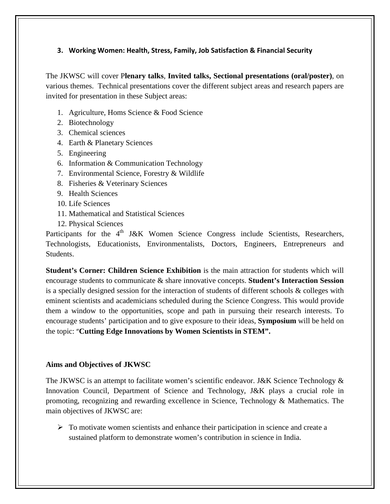#### **3. Working Women: Health, Stress, Family, Job Satisfaction & Financial Security**

The JKWSC will cover P**lenary talks**, **Invited talks, Sectional presentations (oral/poster)**, on various themes. Technical presentations cover the different subject areas and research papers are invited for presentation in these Subject areas:

- 1. Agriculture, Homs Science & Food Science
- 2. Biotechnology
- 3. Chemical sciences
- 4. Earth & Planetary Sciences
- 5. Engineering
- 6. Information & Communication Technology
- 7. Environmental Science, Forestry & Wildlife
- 8. Fisheries & Veterinary Sciences
- 9. Health Sciences
- 10. Life Sciences
- 11. Mathematical and Statistical Sciences
- 12. Physical Sciences

Participants for the  $4<sup>th</sup>$  J&K Women Science Congress include Scientists, Researchers, Technologists, Educationists, Environmentalists, Doctors, Engineers, Entrepreneurs and Students.

**Student's Corner: Children Science Exhibition** is the main attraction for students which will encourage students to communicate & share innovative concepts. **Student's Interaction Session** is a specially designed session for the interaction of students of different schools & colleges with eminent scientists and academicians scheduled during the Science Congress. This would provide them a window to the opportunities, scope and path in pursuing their research interests. To encourage students' participation and to give exposure to their ideas, **Symposium** will be held on the topic: "**Cutting Edge Innovations by Women Scientists in STEM".**

#### **Aims and Objectives of JKWSC**

The JKWSC is an attempt to facilitate women's scientific endeavor. J&K Science Technology & Innovation Council, Department of Science and Technology, J&K plays a crucial role in promoting, recognizing and rewarding excellence in Science, Technology & Mathematics. The main objectives of JKWSC are:

 $\triangleright$  To motivate women scientists and enhance their participation in science and create a sustained platform to demonstrate women's contribution in science in India.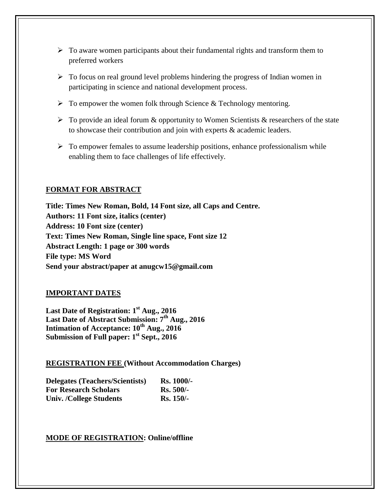- $\triangleright$  To aware women participants about their fundamental rights and transform them to preferred workers
- $\triangleright$  To focus on real ground level problems hindering the progress of Indian women in participating in science and national development process.
- $\triangleright$  To empower the women folk through Science & Technology mentoring.
- $\triangleright$  To provide an ideal forum & opportunity to Women Scientists & researchers of the state to showcase their contribution and join with experts & academic leaders.
- $\triangleright$  To empower females to assume leadership positions, enhance professionalism while enabling them to face challenges of life effectively.

#### **FORMAT FOR ABSTRACT**

**Title: Times New Roman, Bold, 14 Font size, all Caps and Centre. Authors: 11 Font size, italics (center) Address: 10 Font size (center) Text: Times New Roman, Single line space, Font size 12 Abstract Length: 1 page or 300 words File type: MS Word Send your abstract/paper at anugcw15@gmail.com**

#### **IMPORTANT DATES**

**Last Date of Registration: 1st Aug., 2016 Last Date of Abstract Submission: 7th Aug., 2016 Intimation of Acceptance:**  $10^{th}$  **Aug., 2016 Submission of Full paper: 1st Sept., 2016**

#### **REGISTRATION FEE (Without Accommodation Charges)**

| <b>Delegates (Teachers/Scientists)</b> | <b>Rs.</b> 1000/- |
|----------------------------------------|-------------------|
| <b>For Research Scholars</b>           | $Rs. 500/-$       |
| <b>Univ. /College Students</b>         | <b>Rs.</b> 150/-  |

#### **MODE OF REGISTRATION: Online/offline**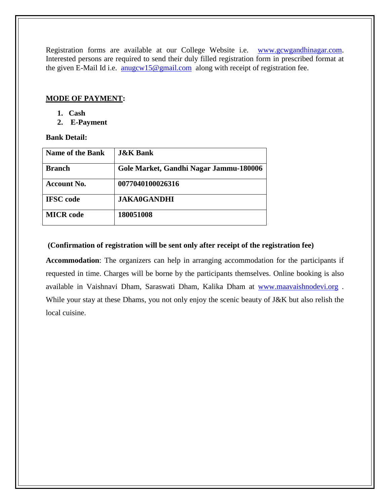Registration forms are available at our College Website i.e. [www.gcwgandhinagar.com.](http://www.gcwgandhinagar.com/) Interested persons are required to send their duly filled registration form in prescribed format at the given E-Mail Id i.e. [anugcw15@gmail.com](mailto:anugcw15@gmail.com) along with receipt of registration fee.

#### **MODE OF PAYMENT:**

- **1. Cash**
- **2. E-Payment**

#### **Bank Detail:**

| <b>Name of the Bank</b> | <b>J&amp;K Bank</b>                    |
|-------------------------|----------------------------------------|
| <b>Branch</b>           | Gole Market, Gandhi Nagar Jammu-180006 |
| <b>Account No.</b>      | 0077040100026316                       |
| <b>IFSC</b> code        | <b>JAKA0GANDHI</b>                     |
| <b>MICR</b> code        | 180051008                              |

#### **(Confirmation of registration will be sent only after receipt of the registration fee)**

**Accommodation**: The organizers can help in arranging accommodation for the participants if requested in time. Charges will be borne by the participants themselves. Online booking is also available in Vaishnavi Dham, Saraswati Dham, Kalika Dham at [www.maavaishnodevi.org](http://www.maavaishnodevi.org/) . While your stay at these Dhams, you not only enjoy the scenic beauty of J&K but also relish the local cuisine.